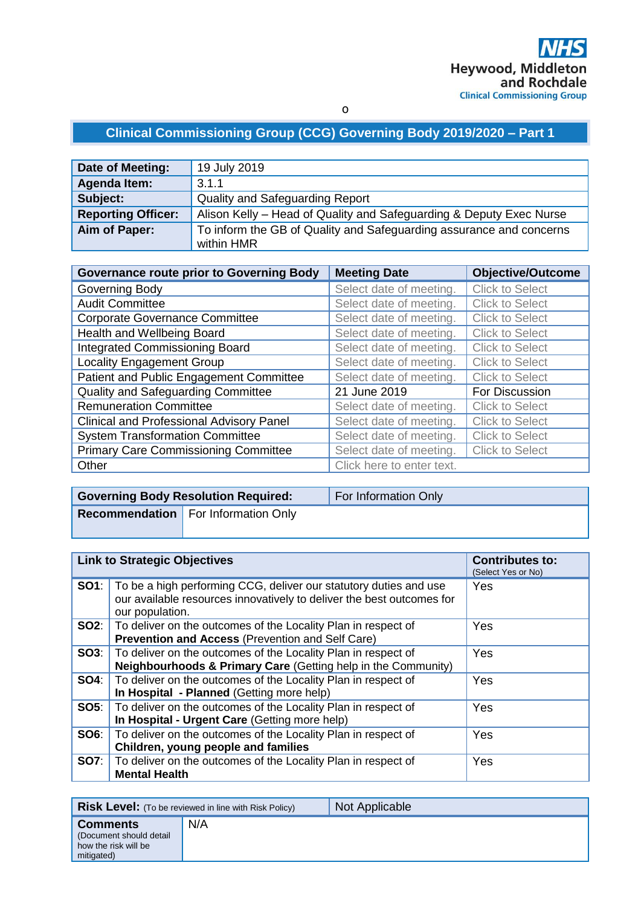# **Clinical Commissioning Group (CCG) Governing Body 2019/2020 – Part 1**

| Date of Meeting:          | 19 July 2019                                                        |
|---------------------------|---------------------------------------------------------------------|
| Agenda Item:              | 3.1.1                                                               |
| Subject:                  | Quality and Safeguarding Report                                     |
| <b>Reporting Officer:</b> | Alison Kelly – Head of Quality and Safeguarding & Deputy Exec Nurse |
| Aim of Paper:             | To inform the GB of Quality and Safeguarding assurance and concerns |
|                           | within HMR                                                          |

| <b>Governance route prior to Governing Body</b> | <b>Meeting Date</b>       | <b>Objective/Outcome</b> |
|-------------------------------------------------|---------------------------|--------------------------|
| Governing Body                                  | Select date of meeting.   | <b>Click to Select</b>   |
| <b>Audit Committee</b>                          | Select date of meeting.   | <b>Click to Select</b>   |
| <b>Corporate Governance Committee</b>           | Select date of meeting.   | <b>Click to Select</b>   |
| Health and Wellbeing Board                      | Select date of meeting.   | <b>Click to Select</b>   |
| <b>Integrated Commissioning Board</b>           | Select date of meeting.   | <b>Click to Select</b>   |
| <b>Locality Engagement Group</b>                | Select date of meeting.   | <b>Click to Select</b>   |
| Patient and Public Engagement Committee         | Select date of meeting.   | <b>Click to Select</b>   |
| Quality and Safeguarding Committee              | 21 June 2019              | For Discussion           |
| <b>Remuneration Committee</b>                   | Select date of meeting.   | <b>Click to Select</b>   |
| <b>Clinical and Professional Advisory Panel</b> | Select date of meeting.   | <b>Click to Select</b>   |
| <b>System Transformation Committee</b>          | Select date of meeting.   | <b>Click to Select</b>   |
| <b>Primary Care Commissioning Committee</b>     | Select date of meeting.   | <b>Click to Select</b>   |
| Other                                           | Click here to enter text. |                          |

| <b>Governing Body Resolution Required:</b> |                                            | For Information Only |
|--------------------------------------------|--------------------------------------------|----------------------|
|                                            | <b>Recommendation</b> For Information Only |                      |
|                                            |                                            |                      |

| <b>Link to Strategic Objectives</b> |                                                                                                                                                                            | <b>Contributes to:</b><br>(Select Yes or No) |
|-------------------------------------|----------------------------------------------------------------------------------------------------------------------------------------------------------------------------|----------------------------------------------|
|                                     | <b>SO1</b> : To be a high performing CCG, deliver our statutory duties and use<br>our available resources innovatively to deliver the best outcomes for<br>our population. | Yes                                          |
|                                     | <b>SO2:</b>   To deliver on the outcomes of the Locality Plan in respect of<br><b>Prevention and Access (Prevention and Self Care)</b>                                     | Yes                                          |
|                                     | <b>SO3</b> : To deliver on the outcomes of the Locality Plan in respect of<br>Neighbourhoods & Primary Care (Getting help in the Community)                                | Yes                                          |
|                                     | <b>SO4:</b> To deliver on the outcomes of the Locality Plan in respect of<br>In Hospital - Planned (Getting more help)                                                     | <b>Yes</b>                                   |
|                                     | <b>SO5:</b> To deliver on the outcomes of the Locality Plan in respect of<br>In Hospital - Urgent Care (Getting more help)                                                 | Yes                                          |
|                                     | <b>SO6:</b> To deliver on the outcomes of the Locality Plan in respect of<br>Children, young people and families                                                           | Yes                                          |
|                                     | <b>SO7:</b> To deliver on the outcomes of the Locality Plan in respect of<br><b>Mental Health</b>                                                                          | Yes                                          |

| <b>Risk Level:</b> (To be reviewed in line with Risk Policy)                     |     | Not Applicable |
|----------------------------------------------------------------------------------|-----|----------------|
| <b>Comments</b><br>(Document should detail<br>how the risk will be<br>mitigated) | N/A |                |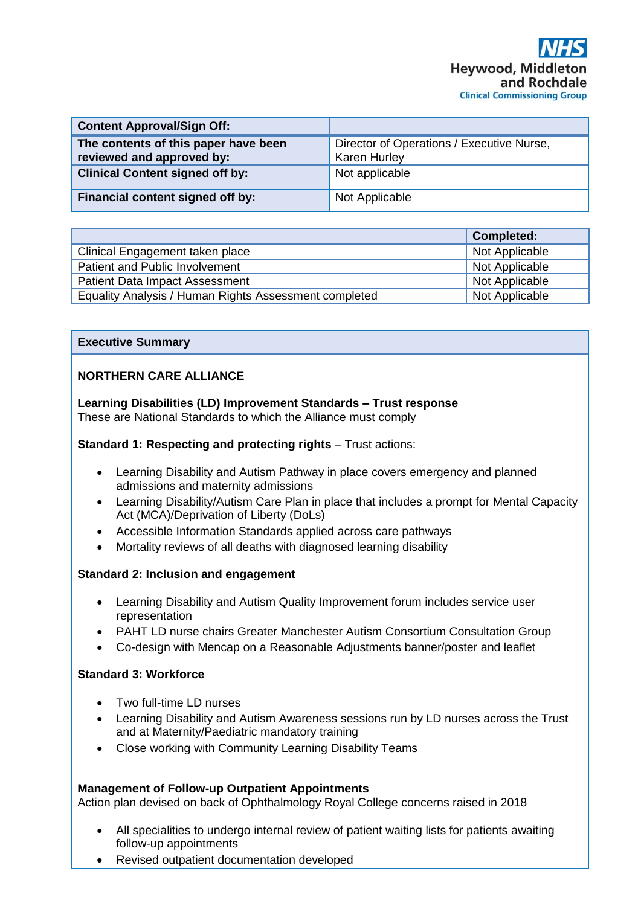| <b>Content Approval/Sign Off:</b>                                 |                                                                  |
|-------------------------------------------------------------------|------------------------------------------------------------------|
| The contents of this paper have been<br>reviewed and approved by: | Director of Operations / Executive Nurse,<br><b>Karen Hurley</b> |
| <b>Clinical Content signed off by:</b>                            | Not applicable                                                   |
| Financial content signed off by:                                  | Not Applicable                                                   |

|                                                       | <b>Completed:</b> |
|-------------------------------------------------------|-------------------|
| Clinical Engagement taken place                       | Not Applicable    |
| Patient and Public Involvement                        | Not Applicable    |
| <b>Patient Data Impact Assessment</b>                 | Not Applicable    |
| Equality Analysis / Human Rights Assessment completed | Not Applicable    |

#### **Executive Summary**

# **NORTHERN CARE ALLIANCE**

**Learning Disabilities (LD) Improvement Standards – Trust response**  These are National Standards to which the Alliance must comply

#### **Standard 1: Respecting and protecting rights** – Trust actions:

- Learning Disability and Autism Pathway in place covers emergency and planned admissions and maternity admissions
- Learning Disability/Autism Care Plan in place that includes a prompt for Mental Capacity Act (MCA)/Deprivation of Liberty (DoLs)
- Accessible Information Standards applied across care pathways
- Mortality reviews of all deaths with diagnosed learning disability

## **Standard 2: Inclusion and engagement**

- Learning Disability and Autism Quality Improvement forum includes service user representation
- PAHT LD nurse chairs Greater Manchester Autism Consortium Consultation Group
- Co-design with Mencap on a Reasonable Adjustments banner/poster and leaflet

## **Standard 3: Workforce**

- Two full-time LD nurses
- Learning Disability and Autism Awareness sessions run by LD nurses across the Trust and at Maternity/Paediatric mandatory training
- Close working with Community Learning Disability Teams

## **Management of Follow-up Outpatient Appointments**

Action plan devised on back of Ophthalmology Royal College concerns raised in 2018

- All specialities to undergo internal review of patient waiting lists for patients awaiting follow-up appointments
- Revised outpatient documentation developed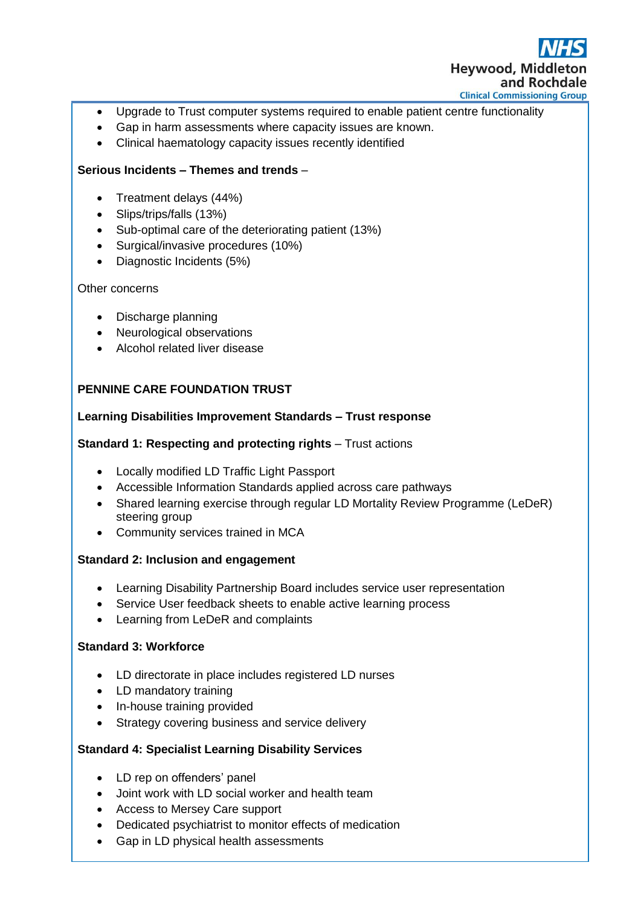

- Upgrade to Trust computer systems required to enable patient centre functionality
- Gap in harm assessments where capacity issues are known.
- Clinical haematology capacity issues recently identified

# **Serious Incidents – Themes and trends** –

- Treatment delays (44%)
- Slips/trips/falls (13%)
- Sub-optimal care of the deteriorating patient (13%)
- Surgical/invasive procedures (10%)
- Diagnostic Incidents (5%)

#### Other concerns

- Discharge planning
- Neurological observations
- Alcohol related liver disease

# **PENNINE CARE FOUNDATION TRUST**

## **Learning Disabilities Improvement Standards – Trust response**

#### **Standard 1: Respecting and protecting rights** – Trust actions

- Locally modified LD Traffic Light Passport
- Accessible Information Standards applied across care pathways
- Shared learning exercise through regular LD Mortality Review Programme (LeDeR) steering group
- Community services trained in MCA

## **Standard 2: Inclusion and engagement**

- Learning Disability Partnership Board includes service user representation
- Service User feedback sheets to enable active learning process
- Learning from LeDeR and complaints

## **Standard 3: Workforce**

- LD directorate in place includes registered LD nurses
- LD mandatory training
- In-house training provided
- Strategy covering business and service delivery

## **Standard 4: Specialist Learning Disability Services**

- LD rep on offenders' panel
- Joint work with LD social worker and health team
- Access to Mersey Care support
- Dedicated psychiatrist to monitor effects of medication
- Gap in LD physical health assessments